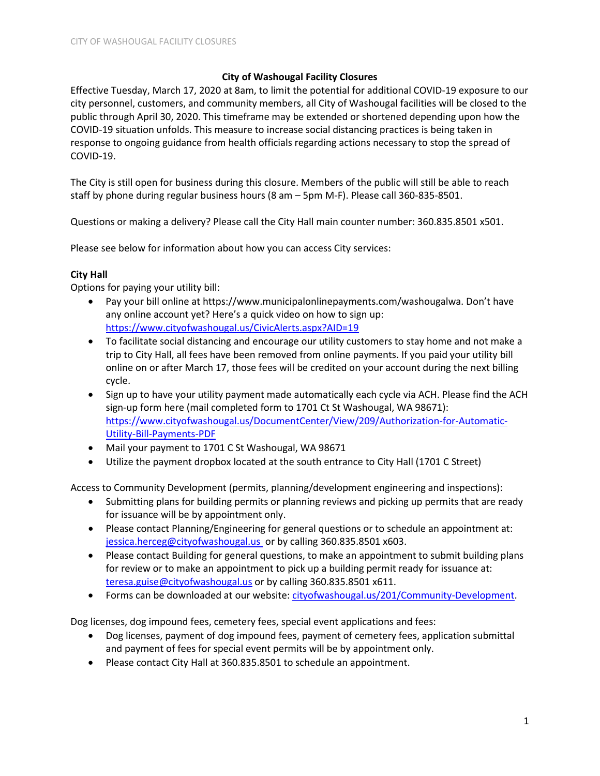# **City of Washougal Facility Closures**

Effective Tuesday, March 17, 2020 at 8am, to limit the potential for additional COVID-19 exposure to our city personnel, customers, and community members, all City of Washougal facilities will be closed to the public through April 30, 2020. This timeframe may be extended or shortened depending upon how the COVID-19 situation unfolds. This measure to increase social distancing practices is being taken in response to ongoing guidance from health officials regarding actions necessary to stop the spread of COVID-19.

The City is still open for business during this closure. Members of the public will still be able to reach staff by phone during regular business hours (8 am – 5pm M-F). Please call 360-835-8501.

Questions or making a delivery? Please call the City Hall main counter number: 360.835.8501 x501.

Please see below for information about how you can access City services:

# **City Hall**

Options for paying your utility bill:

- Pay your bill online at https://www.municipalonlinepayments.com/washougalwa. Don't have any online account yet? Here's a quick video on how to sign up: <https://www.cityofwashougal.us/CivicAlerts.aspx?AID=19>
- To facilitate social distancing and encourage our utility customers to stay home and not make a trip to City Hall, all fees have been removed from online payments. If you paid your utility bill online on or after March 17, those fees will be credited on your account during the next billing cycle.
- Sign up to have your utility payment made automatically each cycle via ACH. Please find the ACH sign-up form here (mail completed form to 1701 Ct St Washougal, WA 98671): [https://www.cityofwashougal.us/DocumentCenter/View/209/Authorization-for-Automatic-](https://www.cityofwashougal.us/DocumentCenter/View/209/Authorization-for-Automatic-Utility-Bill-Payments-PDF)[Utility-Bill-Payments-PDF](https://www.cityofwashougal.us/DocumentCenter/View/209/Authorization-for-Automatic-Utility-Bill-Payments-PDF)
- Mail your payment to 1701 C St Washougal, WA 98671
- Utilize the payment dropbox located at the south entrance to City Hall (1701 C Street)

Access to Community Development (permits, planning/development engineering and inspections):

- Submitting plans for building permits or planning reviews and picking up permits that are ready for issuance will be by appointment only.
- Please contact Planning/Engineering for general questions or to schedule an appointment at: [jessica.herceg@cityofwashougal.us](mailto:jessica.herceg@cityofwashougal.us) or by calling 360.835.8501 x603.
- Please contact Building for general questions, to make an appointment to submit building plans for review or to make an appointment to pick up a building permit ready for issuance at: [teresa.guise@cityofwashougal.us](mailto:teresa.guise@cityofwashougal.us) or by calling 360.835.8501 x611.
- Forms can be downloaded at our website: [cityofwashougal.us/201/Community-Development.](https://www.cityofwashougal.us/201/Community-Development)

Dog licenses, dog impound fees, cemetery fees, special event applications and fees:

- Dog licenses, payment of dog impound fees, payment of cemetery fees, application submittal and payment of fees for special event permits will be by appointment only.
- Please contact City Hall at 360.835.8501 to schedule an appointment.